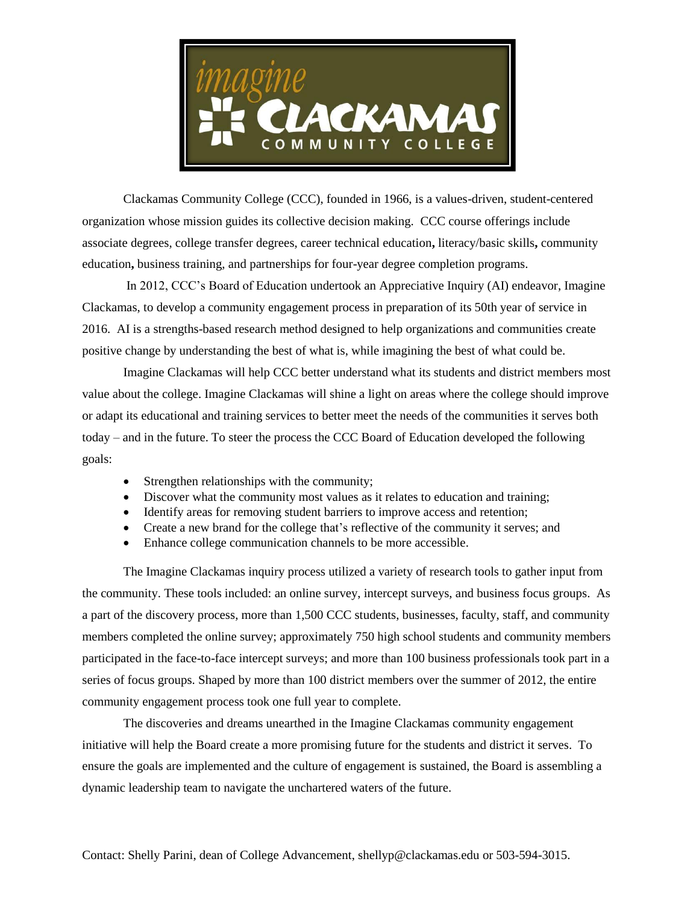

Clackamas Community College (CCC), founded in 1966, is a values-driven, student-centered organization whose mission guides its collective decision making. CCC course offerings include associate degrees, college transfer degrees, career technical education**,** literacy/basic skills**,** community education**,** business training, and partnerships for four-year degree completion programs.

In 2012, CCC's Board of Education undertook an Appreciative Inquiry (AI) endeavor, Imagine Clackamas, to develop a community engagement process in preparation of its 50th year of service in 2016. AI is a strengths-based research method designed to help organizations and communities create positive change by understanding the best of what is, while imagining the best of what could be.

Imagine Clackamas will help CCC better understand what its students and district members most value about the college. Imagine Clackamas will shine a light on areas where the college should improve or adapt its educational and training services to better meet the needs of the communities it serves both today – and in the future. To steer the process the CCC Board of Education developed the following goals:

- Strengthen relationships with the community;
- Discover what the community most values as it relates to education and training;
- Identify areas for removing student barriers to improve access and retention;
- Create a new brand for the college that's reflective of the community it serves; and
- Enhance college communication channels to be more accessible.

The Imagine Clackamas inquiry process utilized a variety of research tools to gather input from the community. These tools included: an online survey, intercept surveys, and business focus groups. As a part of the discovery process, more than 1,500 CCC students, businesses, faculty, staff, and community members completed the online survey; approximately 750 high school students and community members participated in the face-to-face intercept surveys; and more than 100 business professionals took part in a series of focus groups. Shaped by more than 100 district members over the summer of 2012, the entire community engagement process took one full year to complete.

The discoveries and dreams unearthed in the Imagine Clackamas community engagement initiative will help the Board create a more promising future for the students and district it serves. To ensure the goals are implemented and the culture of engagement is sustained, the Board is assembling a dynamic leadership team to navigate the unchartered waters of the future.